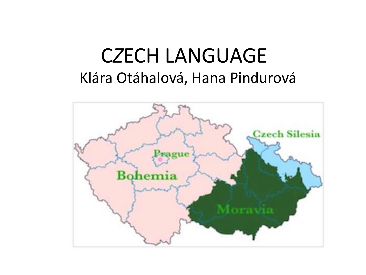#### C*Z*ECH LANGUAGE Klára Otáhalová, Hana Pindurová

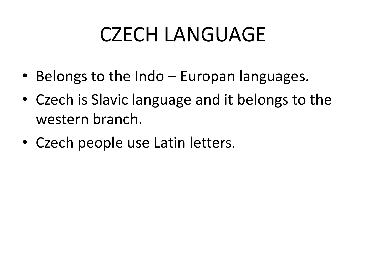#### CZECH LANGUAGE

- Belongs to the Indo Europan languages.
- Czech is Slavic language and it belongs to the western branch.
- Czech people use Latin letters.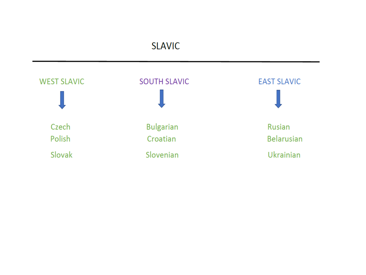#### **SLAVIC**

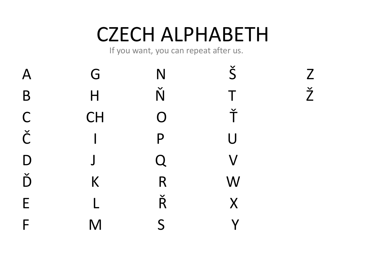## CZECH ALPHABETH

If you want, you can repeat after us.

| $\overline{\mathsf{A}}$ | G             | N                    | $\check{\mathsf{S}}$    | Z                    |
|-------------------------|---------------|----------------------|-------------------------|----------------------|
| B                       | $\mathsf{H}%$ | Ň                    | $\mathsf T$             | $\check{\mathsf{Z}}$ |
| $\mathsf C$             | <b>CH</b>     | $\overline{O}$       | Ť                       |                      |
| $\check{\mathsf{C}}$    |               | P                    | $\bigcup$               |                      |
| D                       | $\int$        | $\overline{Q}$       | $\overline{\mathsf{V}}$ |                      |
| $\check{D}$             | K             | R                    | W                       |                      |
| E                       |               | $\check{\mathsf{R}}$ | $\overline{\mathsf{X}}$ |                      |
| F                       | M             | S                    | $\overline{\mathsf{V}}$ |                      |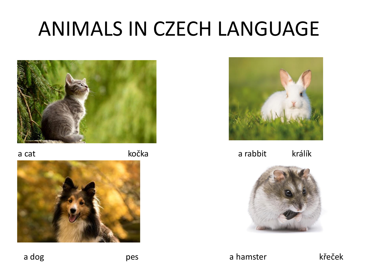#### ANIMALS IN CZECH LANGUAGE



a cat kočka





a rabbit králík



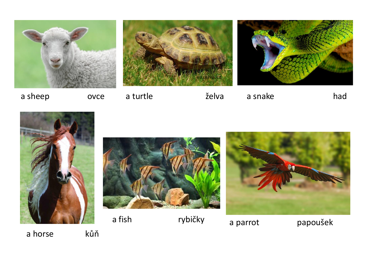

a sheep ovce

















a horse kůň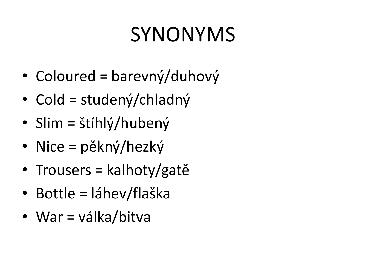# SYNONYMS

- Coloured = barevný/duhový
- Cold = studený/chladný
- Slim = štíhlý/hubený
- Nice = pěkný/hezký
- Trousers = kalhoty/gatě
- Bottle = láhev/flaška
- War = válka/bitva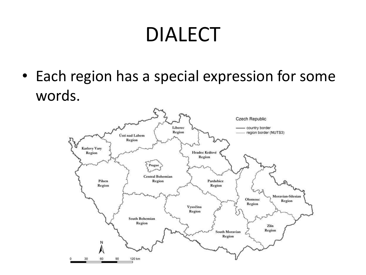#### DIALECT

• Each region has a special expression for some words.

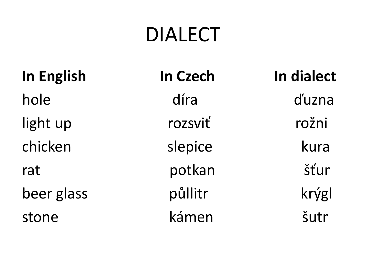#### **DIALECT**

| <b>In English</b> |
|-------------------|
| hole              |
| light up          |
| chicken           |
| rat               |
| beer glass        |
| stone             |

| <b>In Czech</b> | In dialect |  |
|-----------------|------------|--|
| díra            | d'uzna     |  |
| rozsviť         | rožni      |  |
| slepice         | kura       |  |
| potkan          | šťur       |  |
| půllitr         | krýgl      |  |
| kámen           | šutr       |  |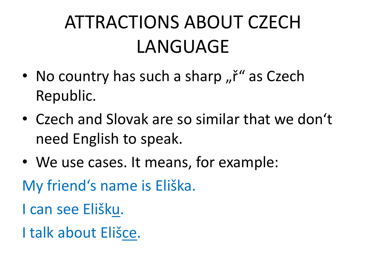#### ATTRACTIONS ABOUT CZECH LANGUAGE

- No country has such a sharp " $\check{r}$ " as Czech Republic.
- Czech and Slovak are so similar that we don't need English to speak.
- We use cases. It means, for example:

My friend's name is Eliška.

I can see Elišku.

I talk about Elišce.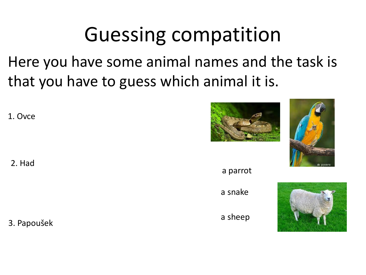## **Guessing compatition**

Here you have some animal names and the task is that you have to guess which animal it is.

1. Ovce

2. Had

3. Papoušek





a parrot a snake



a sheep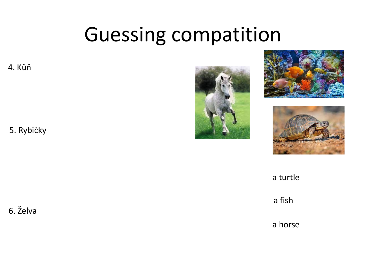#### Guessing compatition

4. Kůň

5. Rybičky







a turtle

a fish

a horse

6. Želva